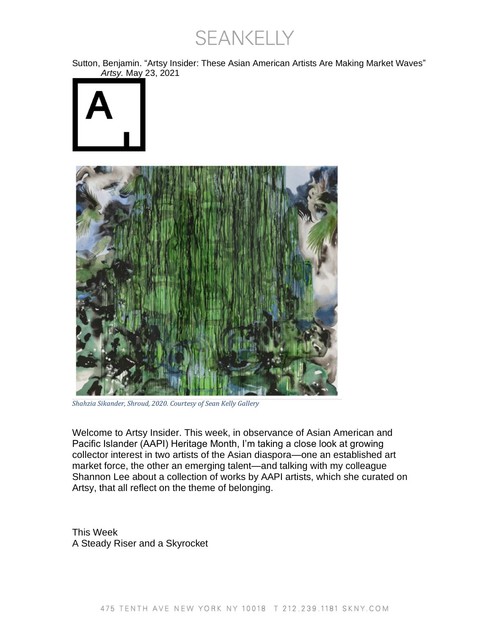SEANKELLY

Sutton, Benjamin. "Artsy Insider: These Asian American Artists Are Making Market Waves" *Artsy.* May 23, 2021





*Shahzia Sikander, Shroud, 2020. Courtesy of Sean Kelly Gallery*

Welcome to Artsy Insider. This week, in observance of Asian American and Pacific Islander (AAPI) Heritage Month, I'm taking a close look at growing collector interest in two artists of the Asian diaspora—one an established art market force, the other an emerging talent—and talking with my colleague Shannon Lee about a collection of works by AAPI artists, which she curated on Artsy, that all reflect on the theme of belonging.

This Week A Steady Riser and a Skyrocket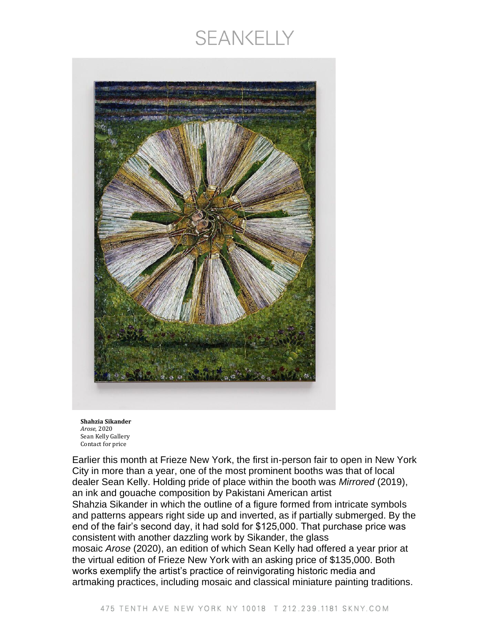## **SEANKELLY**





Earlier this month at Frieze New York, the first in-person fair to open in New York City in more than a year, one of the most prominent booths was that of local dealer Sean Kelly. Holding pride of place within the booth was *Mirrored* (2019), an ink and gouache composition by Pakistani American artist Shahzia Sikander in which the outline of a figure formed from intricate symbols and patterns appears right side up and inverted, as if partially submerged. By the end of the fair's second day, it had sold for \$125,000. That purchase price was consistent with another dazzling work by Sikander, the glass mosaic *Arose* (2020), an edition of which Sean Kelly had offered a year prior at the virtual edition of Frieze New York with an asking price of \$135,000. Both works exemplify the artist's practice of reinvigorating historic media and artmaking practices, including mosaic and classical miniature painting traditions.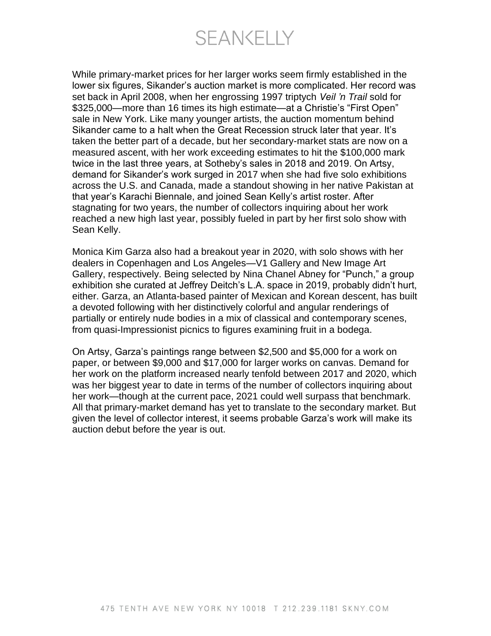SEANKELLY

While primary-market prices for her larger works seem firmly established in the lower six figures, Sikander's auction market is more complicated. Her record was set back in April 2008, when her engrossing 1997 triptych *Veil 'n Trail* sold for \$325,000—more than 16 times its high estimate—at a Christie's "First Open" sale in New York. Like many younger artists, the auction momentum behind Sikander came to a halt when the Great Recession struck later that year. It's taken the better part of a decade, but her secondary-market stats are now on a measured ascent, with her work exceeding estimates to hit the \$100,000 mark twice in the last three years, at Sotheby's sales in 2018 and 2019. On Artsy, demand for Sikander's work surged in 2017 when she had five solo exhibitions across the U.S. and Canada, made a standout showing in her native Pakistan at that year's Karachi Biennale, and joined Sean Kelly's artist roster. After stagnating for two years, the number of collectors inquiring about her work reached a new high last year, possibly fueled in part by her first solo show with Sean Kelly.

Monica Kim Garza also had a breakout year in 2020, with solo shows with her dealers in Copenhagen and Los Angeles—V1 Gallery and New Image Art Gallery, respectively. Being selected by Nina Chanel Abney for "Punch," a group exhibition she curated at Jeffrey Deitch's L.A. space in 2019, probably didn't hurt, either. Garza, an Atlanta-based painter of Mexican and Korean descent, has built a devoted following with her distinctively colorful and angular renderings of partially or entirely nude bodies in a mix of classical and contemporary scenes, from quasi-Impressionist picnics to figures examining fruit in a bodega.

On Artsy, Garza's paintings range between \$2,500 and \$5,000 for a work on paper, or between \$9,000 and \$17,000 for larger works on canvas. Demand for her work on the platform increased nearly tenfold between 2017 and 2020, which was her biggest year to date in terms of the number of collectors inquiring about her work—though at the current pace, 2021 could well surpass that benchmark. All that primary-market demand has yet to translate to the secondary market. But given the level of collector interest, it seems probable Garza's work will make its auction debut before the year is out.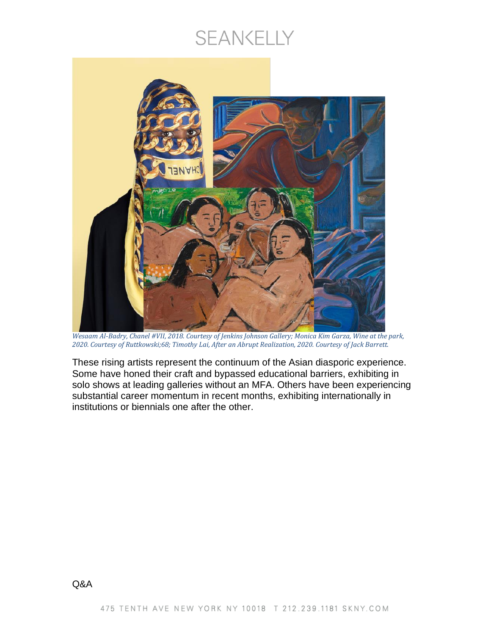## SEANKELLY



*Wesaam Al-Badry, Chanel #VII, 2018. Courtesy of Jenkins Johnson Gallery; Monica Kim Garza, Wine at the park, 2020. Courtesy of Ruttkowski;68; Timothy Lai, After an Abrupt Realization, 2020. Courtesy of Jack Barrett.*

These rising artists represent the continuum of the Asian diasporic experience. Some have honed their craft and bypassed educational barriers, exhibiting in solo shows at leading galleries without an MFA. Others have been experiencing substantial career momentum in recent months, exhibiting internationally in institutions or biennials one after the other.